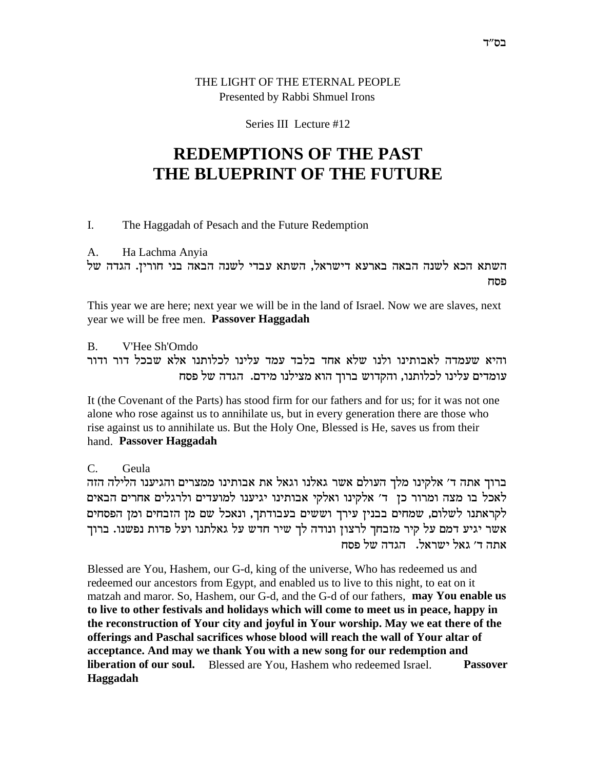## THE LIGHT OF THE ETERNAL PEOPLE Presented by Rabbi Shmuel Irons

### Series III Lecture #12

# **REDEMPTIONS OF THE PAST** THE BLUEPRINT OF THE FUTURE

#### I. The Haggadah of Pesach and the Future Redemption

#### $A<sub>1</sub>$ Ha Lachma Anyia

השתא הכא לשנה הבאה בארעא דישראל, השתא עבדי לשנה הבאה בני חורין. הגדה של פסח

This year we are here; next year we will be in the land of Israel. Now we are slaves, next year we will be free men. Passover Haggadah

 $\mathbf{B}$ V'Hee Sh'Omdo והיא שעמדה לאבותינו ולנו שלא אחד בלבד עמד עלינו לכלותנו אלא שבכל דור ודור עומדים עלינו לכלותנו, והקדוש ברוך הוא מצילנו מידם. הגדה של פסח

It (the Covenant of the Parts) has stood firm for our fathers and for us; for it was not one alone who rose against us to annihilate us, but in every generation there are those who rise against us to annihilate us. But the Holy One, Blessed is He, saves us from their hand. Passover Haggadah

 $C_{\cdot}$ Geula

ברוך אתה ד׳ אלקינו מלך העולם אשר גאלנו וגאל את אבותינו ממצרים והגיענו הלילה הזה לאכל בו מצה ומרור כן ד׳ אלקינו ואלקי אבותינו יגיענו למועדים ולרגלים אחרים הבאים לקראתנו לשלום, שמחים בבנין עירך וששים בעבודתך, ונאכל שם מן הזבחים ומן הפסחים אשר יגיע דמם על קיר מזבחך לרצון ונודה לך שיר חדש על גאלתנו ועל פדות נפשנו. ברוך אתה ד' גאל ישראל. הגדה של פסח

Blessed are You, Hashem, our G-d, king of the universe, Who has redeemed us and redeemed our ancestors from Egypt, and enabled us to live to this night, to eat on it matzah and maror. So, Hashem, our G-d, and the G-d of our fathers, **may You enable us** to live to other festivals and holidays which will come to meet us in peace, happy in the reconstruction of Your city and joyful in Your worship. May we eat there of the offerings and Paschal sacrifices whose blood will reach the wall of Your altar of acceptance. And may we thank You with a new song for our redemption and **liberation of our soul.** Blessed are You, Hashem who redeemed Israel. **Passover** Haggadah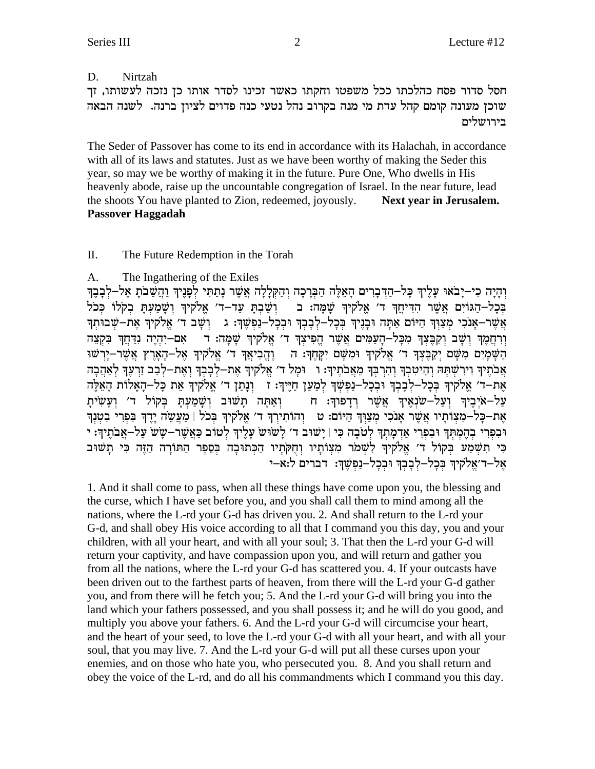#### D. Nirtzah

חסל סדור פסח כהלכתו ככל משפטו וחקתו כאשר זכינו לסדר אותו כן נזכה לעשותו, זך שוכן מעונה קומם קהל עדת מי מנה בקרוב נהל נטעי כנה פדוים לציון ברנה. לשנה הבאה בירושלים

The Seder of Passover has come to its end in accordance with its Halachah, in accordance with all of its laws and statutes. Just as we have been worthy of making the Seder this year, so may we be worthy of making it in the future. Pure One, Who dwells in His heavenly abode, raise up the uncountable congregation of Israel. In the near future, lead the shoots You have planted to Zion, redeemed, joyously. Next vear in Jerusalem. **Passover Haggadah** 

#### Π. The Future Redemption in the Torah

#### $A<sub>1</sub>$ The Ingathering of the Exiles

וְהַיָּה כִי–יַבֹאוּ עַלֵיךְ כָּל–הָדִּבְרִים הָאֶלֶּה הַבְּרָכָה וְהַקְּלַלָה אֲשֶׁר נַתֲתִּי לְפַנֵּיךְ וַהֲשֵׁבֹת אֱל–לְבָבֶךְ בְּכָל–הַגּוֹיִם אֲשֶׁר הִדִּיְחַךְ ד' אֱלֹקִיךְ שָׁמָה: ב הַשַּׁבְתַּ עַד–ד' אֱלֹקִיךְ וְשַׁמַעִתַּ בְקְלוֹ כְּכֹל אֲשֶר-אָנֹכִי מְצַוְךָ הַיּוֹם אַתָּה וּבְנֶיךְ בִּכָל-לְבָבְךְ וּבִכָל-נַפִּשֶׁךְ: גִּ וְשָׁבְ דֹ׳ אֵלֹקִיךְ אֵת-שִׁבוּתִךְ וְרְחֲמֵךְ וְשָׁב וְקִבֵּצְךְ מִכָּלֹ–הָעַמִּים אֲשֶׁר הֵפִיצְךְ ד' אֱלֹקִיךְ שָׁמָּה: ד – אִם–יִהְיֶה נְדַחֲךְ בִקְצֵה הַשָּׁמַיִם מְשָׁם יִקַבֵּצְךְּ ד' אֱלֹקִיךְ וּמְשָׁם יִקַּחֲךָּ: ה | וֵהֵבִיאֲךָ ד' אֱלֹקִיךָ אֱל–הָאָרֶץ אֲשֶׁר–יָרְשׁוּ אֲבֹתֵיךְ וִירְשָׁתַּהּ וְהֵיטְבְךָ וְהִרְבְּךָ מֶאֲבֹתֵיךָ: ו - וּמַל ד׳ אֱלֹקיךְ אֵת–לְבָבִךְ וְאֶת–לְבָב זֵרְעֵךְ לְאָהֶבָה אֶת–ד׳ אֱלֹקיךְ בִּכֲל–לִבְבַךְ וּבְכָל–נַפְשָׁךְ לִמַעַן חַיֵּיךְ: זִּ וְנַתַן ד׳ אֱלֹקיךְ אֶת כָּל–הָאֲלוֹת הָאֶלֶה עַל–איִבִיךְ וְעַל–שנָאֵיךְ אֲשֶׁר רַדַפוךָ: ח – וְאַתַּה תַשׁוּב וְשַׁמַעָתַ בְּקוֹל ד׳ וְעַשִׂיתַ את-כל-מצותיו אשר אנכי מצוד היום: ט נהותירד ד׳ אלקיד בכל | מעשה ידד בפרי בטנד וּבְפְרִי בְהֶמְתִּךְ וּבְפְרִי אַדְמַתְךְ לְטֹבָה כִּי | יַשׁוּב ד׳ לְשוּש עָלֶיךְ לְטוֹב כָּאֲשֶׁר–שָש עַל–אֲבֹתֵיךְ: י כִּי תִשְׁמַע בִקוֹל ד׳ אֱלֹקִיךְ לְשָׁמֹר מִצְוֹתַיו וְחִקְתִיו הַכְתוּבָה בְּסֵפֶר הַתּוֹרָה הַזֶּה כִּי תַשׁוּב אל-ד׳אַלקיך בְּכַל-לְבָבְךָ וּבְכָל-נַפְשֶׁךָ: דברים ל:א-י

1. And it shall come to pass, when all these things have come upon you, the blessing and the curse, which I have set before you, and you shall call them to mind among all the nations, where the L-rd your G-d has driven you. 2. And shall return to the L-rd your G-d, and shall obey His voice according to all that I command you this day, you and your children, with all your heart, and with all your soul; 3. That then the L-rd your G-d will return your captivity, and have compassion upon you, and will return and gather you from all the nations, where the L-rd your G-d has scattered you. 4. If your outcasts have been driven out to the farthest parts of heaven, from there will the L-rd your G-d gather you, and from there will he fetch you; 5. And the L-rd your G-d will bring you into the land which your fathers possessed, and you shall possess it; and he will do you good, and multiply you above your fathers. 6. And the L-rd your G-d will circumcise your heart, and the heart of your seed, to love the L-rd your G-d with all your heart, and with all your soul, that you may live. 7. And the L-rd your G-d will put all these curses upon your enemies, and on those who hate you, who persecuted you. 8. And you shall return and obey the voice of the L-rd, and do all his commandments which I command you this day.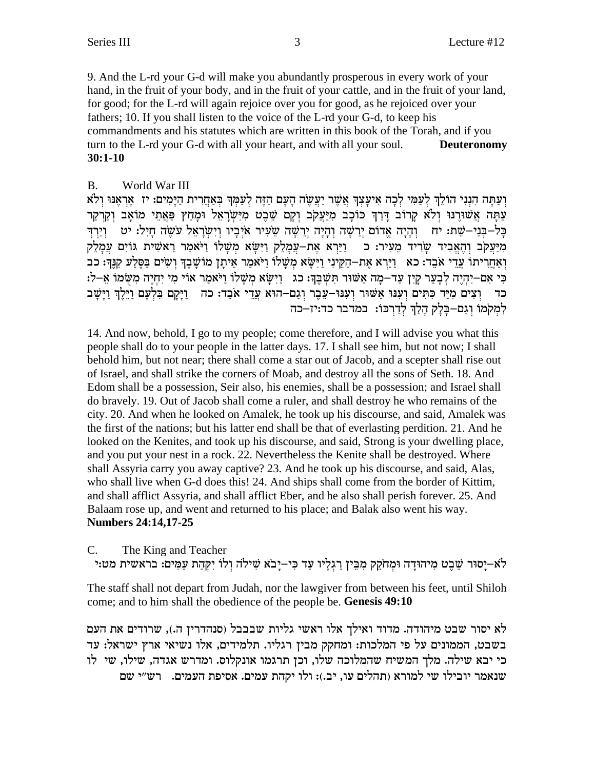9. And the L-rd your G-d will make you abundantly prosperous in every work of your hand, in the fruit of your body, and in the fruit of your cattle, and in the fruit of your land, for good; for the L-rd will again rejoice over you for good, as he rejoiced over your fathers; 10. If you shall listen to the voice of the L-rd your G-d, to keep his commandments and his statutes which are written in this book of the Torah, and if you turn to the L-rd your G-d with all your heart, and with all your soul. **Deuteronomy**  $30:1-10$ 

#### **B.** World War III

וְעַתָּה הָנְנִי הוֹלֵךְ לְעַמִּי לְכָה אִיעַצְךָ אֲשֶׁר יַעֲשֶׂה הָעָם הַזֶּה לְעַמְךָ בְּאַחֲרִית הַיַּמִים: יז אֲרָאֲנּוּ וְלֹא עַתַּה אֲשׁוּרֵנוּ וְלֹא קַרוֹב דַּרַךְ כּוֹכָב מִיַּעֲקֹב וְקַם שֶׁבֵט מִיִּשְׂרַאֱל וּמַחָץ פַּאֲתֵי מוֹאָב וְקַרִקַר כָּל–בִּנֵי–שֵׁת: יח ִוְהָיָה אֲדוֹם יְרֵשָׁה וְהָיָה יְרֵשָׁה שֵׂעִיר אֹיְבָיו וְיִשְׂרָאֱל עֹשֶׂה חָיִל: יט וְיֵרְדִּ מִיַעֲקֹב וְהָאֱבְיד שָׂרִיד מֵעִיר: כִּ וַיַּרָא אֶת–עֲמָלֶק וַיִּשָּׂא מִשָּׁלוֹ וַיֹּאמַר רֵאשִׁית גּוֹיִם עֲמָלֶק ואַחֲרִיתוֹ עֲדֵי אֹבֶד: כֹא [יַיַּרָא אֶת-הַקֵּינִי וַיִּשָׂא מִשָּׁלוֹ וַיֹּאמַר אֵיתַן מוֹשַׁבֶךְ וְשִׂים בַּסֶלַע קִנֵּךְ: כֹּב בי אם–יהיה לבער קין עד–מה אשור תשבד: כג נוישא משלו ויאמר אוי מי יחיה משמו א–ל: כד וְצִים מִיַּד כִּתְּיִם וְעָנּוּ אֲשׁוּר וְעָנּוּ-עֶבֶר וְגַם-הוּא עֲדֵי אֹבֶד: כה וַיַּקַם בִּלְעָם וַיֵּלֵךְ וַיַּשָׁב למקמו וגם-בלק הלך לדרכו: במדבר כד:יז-כה

14. And now, behold, I go to my people; come therefore, and I will advise you what this people shall do to your people in the latter days. 17. I shall see him, but not now; I shall behold him, but not near; there shall come a star out of Jacob, and a scepter shall rise out of Israel, and shall strike the corners of Moab, and destroy all the sons of Seth. 18. And Edom shall be a possession, Seir also, his enemies, shall be a possession; and Israel shall do bravely. 19. Out of Jacob shall come a ruler, and shall destroy he who remains of the city. 20. And when he looked on Amalek, he took up his discourse, and said, Amalek was the first of the nations; but his latter end shall be that of everlasting perdition. 21. And he looked on the Kenites, and took up his discourse, and said, Strong is your dwelling place, and you put your nest in a rock. 22. Nevertheless the Kenite shall be destroyed. Where shall Assyria carry you away captive? 23. And he took up his discourse, and said, Alas, who shall live when G-d does this! 24. And ships shall come from the border of Kittim, and shall afflict Assyria, and shall afflict Eber, and he also shall perish forever. 25. And Balaam rose up, and went and returned to his place; and Balak also went his way. **Numbers 24:14,17-25** 

The King and Teacher C.

לֹא–יָסוּר שֵׁבֵט מִיהוּדָה וּמִחֹקֵק מִבֵּין רַגִלְיו עַד כִּי–יָבֹא שִׁילֹה וְלוֹ יִקְהַת עַמִּים: בראשית מט:י

The staff shall not depart from Judah, nor the lawgiver from between his feet, until Shiloh come; and to him shall the obedience of the people be. Genesis 49:10

לא יסור שבט מיהודה. מדוד ואילך אלו ראשי גליות שבבבל (סנהדרין ה.), שרודים את העם בשבט, הממונים על פי המלכות: ומחקק מבין רגליו. תלמידים, אלו נשיאי ארץ ישראל: עד כי יבא שילה. מלך המשיח שהמלוכה שלו, וכן תרגמו אונקלוס. ומדרש אגדה, שילו, שי לו שנאמר יובילו שי למורא (תהלים עו, יב.): ולו יקהת עמים. אסיפת העמים. רש"י שם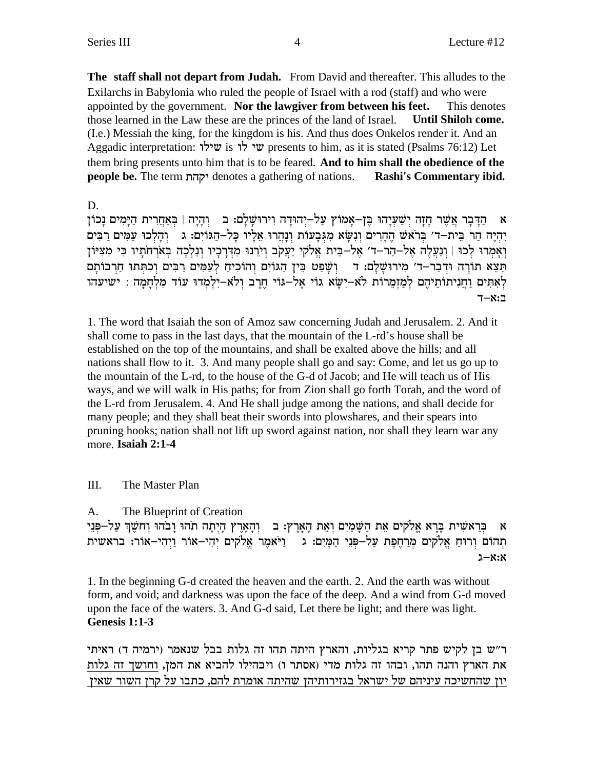The staff shall not depart from Judah. From David and thereafter. This alludes to the Exilarchs in Babylonia who ruled the people of Israel with a rod (staff) and who were appointed by the government. Nor the lawgiver from between his feet. This denotes those learned in the Law these are the princes of the land of Israel. **Until Shiloh come.** (I.e.) Messiah the king, for the kingdom is his. And thus does Onkelos render it. And an Aggadic interpretation: שילו is  $\forall$ resents to him, as it is stated (Psalms 76:12) Let them bring presents unto him that is to be feared. And to him shall the obedience of the people be. The term יקהת denotes a gathering of nations. Rashi's Commentary ibid.

D.

א הַדִּבַר אֲשֶׁר חַזָה יַשָּׁעֲיָהוּ בֵּן–אַמוֹץ עַל–יְהוּדַה וְירוּשַׁלַם: בִּ וְהַיָּה | בִּאַחֲרִית הַיַּמִים נַכוֹן יהיה הר בית–ד' בראש ההרים ונשא מגבעות ונהרו אליו כל–הגוים: ג נהלכו עמים רבים וְאַמְרוּ לְכוּ | וְנַעֲלֵה אֲל-הַרְ-ד' אֱל-בֵּית אֱלֹקי יַעֲקֹב וִיֹרְנוּ מִדְּרָכָיו וְנֵלְכָה בְּאֹרְחֹתַיו כִּי מִצְיּוֹן תֵּצֵא תוֹרָה וּדְבַר–ד׳ מִירוּשָׁלַם: דִּ וְשָׁפַט בֵּין הַגּוֹיִם וְהוֹכְיֹחַ לְעַמִּים רַבִּים וְכִתְּתוּ חַרְבוֹתָם לְאָתִּים וַחֲנִיתוֹתֵיהֶם לְמַזְמֵרוֹת לֹא-יִשָּׂא גוֹי אֲלֹ-גּוֹי חֵרֶב וְלֹא-יִלְמְדוּ עוֹד מְלְחָמָה : ישיעהו ב:א-ד

1. The word that Isaiah the son of Amoz saw concerning Judah and Jerusalem. 2. And it shall come to pass in the last days, that the mountain of the L-rd's house shall be established on the top of the mountains, and shall be exalted above the hills; and all nations shall flow to it. 3. And many people shall go and say: Come, and let us go up to the mountain of the L-rd, to the house of the G-d of Jacob; and He will teach us of His ways, and we will walk in His paths; for from Zion shall go forth Torah, and the word of the L-rd from Jerusalem. 4. And He shall judge among the nations, and shall decide for many people; and they shall beat their swords into plowshares, and their spears into pruning hooks; nation shall not lift up sword against nation, nor shall they learn war any more. Isaiah 2:1-4

III. The Master Plan

A. The Blueprint of Creation

בְּרָאשִׁית בַּרָא אֱלֹקים אֶת הַשַּׁמַיִם וָאֶת הַאֲרֶץ: ב- וְהַאֲרֶץ הַיִתָּה תֹהוּ וַבֹּהוּ וְחֹשֶׁךָ עַל-פְּנֵי  $\mathbf{x}$ תְהוֹם וְרוּחַ אֱלֹקִים מְרַחֲפֶת עַלְ–פְּנֵי הַמַּיִם: גִּ וַיֹּאמֶר אֱלֹקִים יְהִי–אוֹר וַיִּהִי–אוֹר: בראשית  $2-x:8$ 

1. In the beginning G-d created the heaven and the earth. 2. And the earth was without form, and void; and darkness was upon the face of the deep. And a wind from G-d moved upon the face of the waters. 3. And G-d said, Let there be light; and there was light. Genesis 1:1-3

ר"ש בן לקיש פתר קריא בגליות, והארץ היתה תהו זה גלות בבל שנאמר (ירמיה ד) ראיתי את הארץ והנה תהו, ובהו זה גלות מדי (אסתר ו) ויבהילו להביא את המן, וחושך זה גלות יון שהחשיכה עיניהם של ישראל בגזירותיהן שהיתה אומרת להם, כתבו על קרן השור שאין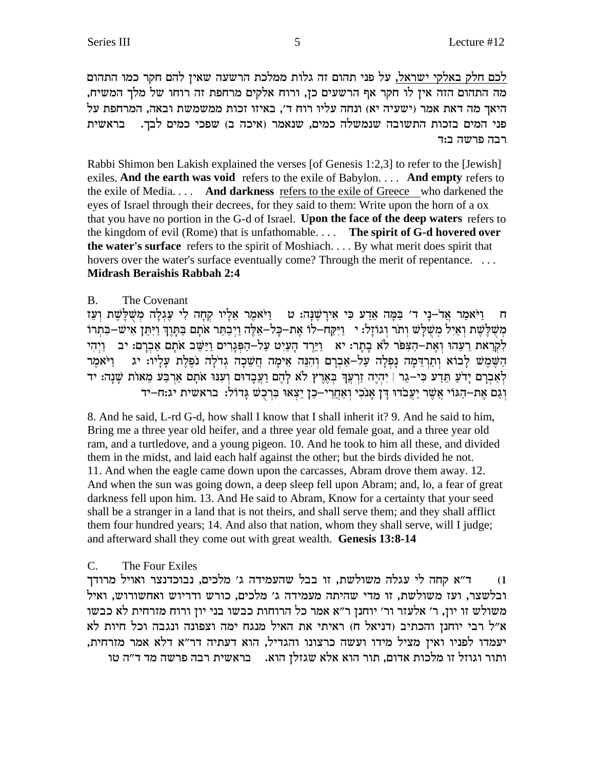לכם חלק באלקי ישראל, על פני תהום זה גלות ממלכת הרשעה שאין להם חקר כמו התהום מה התהום הזה אין לו חקר אף הרשעים כן, ורוח אלקים מרחפת זה רוחו של מלך המשיח, היאך מה דאת אמר (ישעיה יא) ונחה עליו רוח ד', באיזו זכות ממשמשת ובאה, המרחפת על פני המים בזכות התשובה שנמשלה כמים, שנאמר (איכה ב) שפכי כמים לבך. | בראשית רבה פרשה ב:ד

Rabbi Shimon ben Lakish explained the verses [of Genesis 1:2,3] to refer to the [Jewish] exiles. **And the earth was void** refers to the exile of Babylon. . . . **And empty** refers to the exile of Media. . . . **And darkness** refers to the exile of Greece who darkened the eyes of Israel through their decrees, for they said to them: Write upon the horn of a ox that you have no portion in the G-d of Israel. **Upon the face of the deep waters** refers to the kingdom of evil (Rome) that is unfathomable. . . . **The spirit of G-d hovered over the water's surface** refers to the spirit of Moshiach. . . . By what merit does spirit that hovers over the water's surface eventually come? Through the merit of repentance. ... **Midrash Beraishis Rabbah 2:4**

## B. The Covenant

ח וַיֹּאמַר אֲדֹ–נַי ד' בַּמַּה אָדַע כִּי אִירַשֵׁנַה: ט וויֹאמֵר אָלַיו קחַה לִי עָגִלַה מִשְׁלֵשֵׁת וַעֲז משלְשֶׁת וְאֵיל מִשְׁלַשׁ וְתֹר וְגוֹזַל: יִ יַיַּקַח-לוֹ אַת-כַּל-אַלֶּה וַיִּבְתֵּר אֹתֵם בַּתַּוֶךְ וַיִּתֵן אִישׁ−בַּתְרוֹ לִקְרָאת רַעֲהוּ וְאֶת-הַצִּפֹּר לֹא בְתְר: יֹא [יַיֵּרֶד הָעַיִט עַל-הַפִּנָרִים וַיַּשֵׁב אֹתָם אַבִרָם: יִב הַשֵּׁמֵשׁ לַבוֹא וְתַרְדֵּמַה נַפְלַה עַל–אַבְרַם וְהִנֵּה אֵימַה חֲשֵׁכַה גִדֹלַה נֹפֵלֶת עַלַיו: יג ⊥וַיֹּאמֵר לְאַבְרָם יָדֹעַ תֵּדַע כִּי–גֵר | יִהְיֵה זַרְעֲךָ בְּאֶרֶץ לֹא לָהֶם וַעֲבָדוּם וְעִנּוּ אֹתָם אַרְבַּע מֵאוֹת שָׁנָה: יד יִגָם אֶת-הַגּוֹי אֲשֶׁר יַעֲבֹדוּ דַּן אֲנֹכִי וְאָחֲרִי-כֶן יֵצְאוּ בְּרִכְשׁ גַּדוֹל: בראשית יג:ח-יד

8. And he said, L-rd G-d, how shall I know that I shall inherit it? 9. And he said to him, Bring me a three year old heifer, and a three year old female goat, and a three year old ram, and a turtledove, and a young pigeon. 10. And he took to him all these, and divided them in the midst, and laid each half against the other; but the birds divided he not. 11. And when the eagle came down upon the carcasses, Abram drove them away. 12. And when the sun was going down, a deep sleep fell upon Abram; and, lo, a fear of great darkness fell upon him. 13. And He said to Abram, Know for a certainty that your seed shall be a stranger in a land that is not theirs, and shall serve them; and they shall afflict them four hundred years; 14. And also that nation, whom they shall serve, will I judge; and afterward shall they come out with great wealth. **Genesis 13:8-14**

## C. The Four Exiles

ד"א קחה לי עגלה משולשת, זו בבל שהעמידה ג' מלכים, נבוכדנצר ואויל מרודך ובלשצר, ועז משולשת, זו מדי שהיתה מעמידה ג' מלכים, כורש ודריוש ואחשורוש, ואיל משולש זו יון, ר' אלעזר ור' יוחנן ר"א אמר כל הרוחות כבשו בני יון ורוח מזרחית לא כבשו  $\kappa$ ובגבה וכל היות לא ודברי החנן והכתיב (דניאל ח) האיתי את האיל מנגח ימה והכתיב ה יעמדו לפניו ואין מציל מידו ועשה כרצונו והגדיל, הוא דעתיה דר"א דלא אמר מזרחית, ותור וגוזל זו מלכות אדום, תור הוא אלא שגזלן הוא. אבראשית רבה פרשה מד ד"ה טו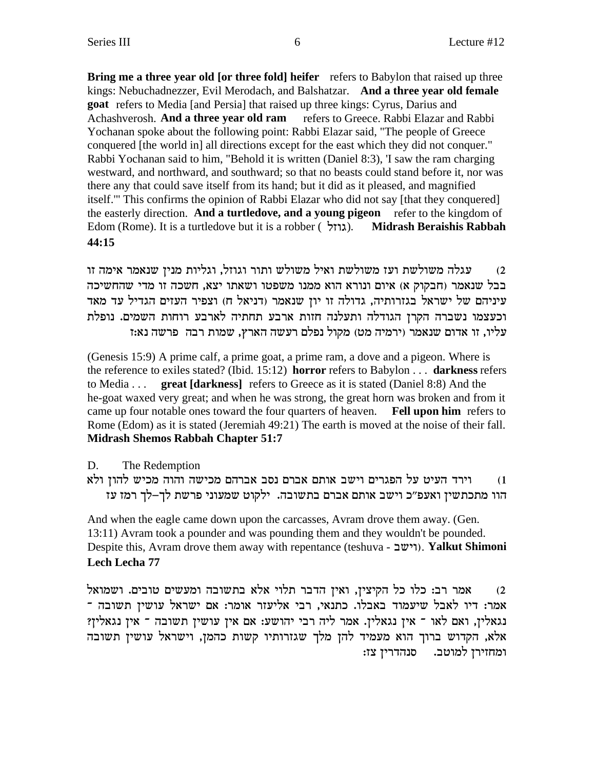**Bring me a three year old [or three fold] heifer** refers to Babylon that raised up three kings: Nebuchadnezzer, Evil Merodach, and Balshatzar. **And a three year old female goat** refers to Media [and Persia] that raised up three kings: Cyrus, Darius and Achashverosh. **And a three year old ram** refers to Greece. Rabbi Elazar and Rabbi Yochanan spoke about the following point: Rabbi Elazar said, "The people of Greece conquered [the world in] all directions except for the east which they did not conquer." Rabbi Yochanan said to him, "Behold it is written (Daniel 8:3), 'I saw the ram charging westward, and northward, and southward; so that no beasts could stand before it, nor was there any that could save itself from its hand; but it did as it pleased, and magnified itself.'" This confirms the opinion of Rabbi Elazar who did not say [that they conquered] the easterly direction. **And a turtledove, and a young pigeon** refer to the kingdom of Edom (Rome). It is a turtledove but it is a robber ( lfeb). **Midrash Beraishis Rabbah 44:15**

עגלה משולשת ועז משולשת ואיל משולש ותור וגוזל, וגליות מניז שנאמר אימה זו  $\,$ בבל שנאמר (חבקוק א) איום ונורא הוא ממנו משפטו ושאתו יצא, חשכה זו מדי שהחשיכה עיניהם של ישראל בגזרותיה, גדולה זו יון שנאמר (דניאל ח) וצפיר העזים הגדיל עד מאד וכעצמו נשברה הקרן הגודלה ותעלנה חזות ארבע תחתיה לארבע רוחות השמים. נופלת  $f$ עליו, זו אדום שנאמר (ירמיה מט) מקול נפלם רעשה הארץ, שמות רבה פרשה נא

(Genesis 15:9) A prime calf, a prime goat, a prime ram, a dove and a pigeon. Where is the reference to exiles stated? (Ibid. 15:12) **horror** refers to Babylon . . . **darkness** refers to Media . . . **great [darkness]** refers to Greece as it is stated (Daniel 8:8) And the he-goat waxed very great; and when he was strong, the great horn was broken and from it came up four notable ones toward the four quarters of heaven. **Fell upon him** refers to Rome (Edom) as it is stated (Jeremiah 49:21) The earth is moved at the noise of their fall. **Midrash Shemos Rabbah Chapter 51:7**

D. The Redemption

וירד העיט על הפגרים וישב אותם אברם נסב אברהם מכישה והוה מכיש להון ולא הוו מתכתשין ואעפ״כ וישב אותם אברם בתשובה. ילקוט שמעוני פרשת לך–לך רמז עז

And when the eagle came down upon the carcasses, Avram drove them away. (Gen. 13:11) Avram took a pounder and was pounding them and they wouldn't be pounded. Despite this, Avram drove them away with repentance (teshuva - וישב). **Yalkut Shimoni Lech Lecha 77**

אמר רב: כלו כל הקיצין, ואין הדבר תלוי אלא בתשובה ומעשים טובים. ושמואל המר: דיו לאבל שיעמוד באבלו. כתנאי, רבי אליעזר אומר: אם ישראל עושין תשובה . וגאלין, ואם לאו ־ אין נגאלין. אמר ליה רבי יהושע: אם אין עושין תשובה ־ אין נגאלין? אלא, הקדוש ברוך הוא מעמיד להן מלך שגזרותיו קשות כהמן, וישראל עושין תשובה ומחזירן למוטב. סנהדרין צז: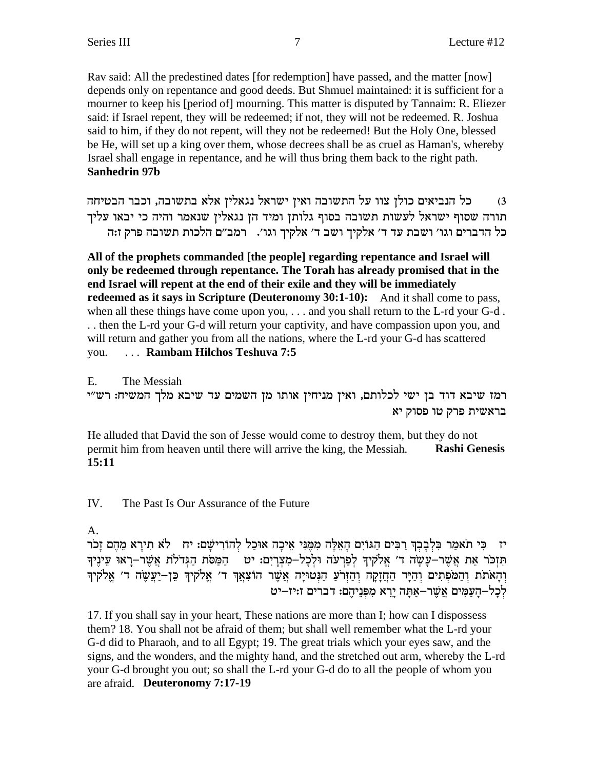Rav said: All the predestined dates [for redemption] have passed, and the matter [now] depends only on repentance and good deeds. But Shmuel maintained: it is sufficient for a mourner to keep his [period of] mourning. This matter is disputed by Tannaim: R. Eliezer said: if Israel repent, they will be redeemed; if not, they will not be redeemed. R. Joshua said to him, if they do not repent, will they not be redeemed! But the Holy One, blessed be He, will set up a king over them, whose decrees shall be as cruel as Haman's, whereby Israel shall engage in repentance, and he will thus bring them back to the right path. **Sanhedrin 97b** 

כל הנביאים כולן צוו על התשובה ואין ישראל נגאלין אלא בתשובה, וכבר הבטיחה  $(3)$ תורה שסוף ישראל לעשות תשובה בסוף גלותן ומיד הן נגאלין שנאמר והיה כי יבאו עליך כל הדברים וגו׳ ושבת עד ד׳ אלקיך ושב ד׳ אלקיך וגו׳. ■רמב״ם הלכות תשובה פרק ז:ה

All of the prophets commanded [the people] regarding repentance and Israel will only be redeemed through repentance. The Torah has already promised that in the end Israel will repent at the end of their exile and they will be immediately redeemed as it says in Scripture (Deuteronomy 30:1-10): And it shall come to pass, when all these things have come upon you,  $\dots$  and you shall return to the L-rd your G-d. .. then the L-rd your G-d will return your captivity, and have compassion upon you, and will return and gather you from all the nations, where the L-rd your G-d has scattered ... Rambam Hilchos Teshuva 7:5 you.

The Messiah  $E_{\rm{m}}$ רמז שיבא דוד בן ישי לכלותם, ואין מניחין אותו מן השמים עד שיבא מלך המשיח: רש"י בראשית פרק טו פסוק יא

He alluded that David the son of Jesse would come to destroy them, but they do not **Rashi Genesis** permit him from heaven until there will arrive the king, the Messiah.  $15:11$ 

IV. The Past Is Our Assurance of the Future

A.

יז – כִּי תֹאמַר בִּלְבָבְךָ רַבִּים הַגּוֹיִם הָאֵלֶּה מִמֶּנִּי אֵיכָה אוּכַל לְהוֹרִישָׁם: יח – לֹא תִירָא מֵהֶם זָכֹר תִּזְכֹּר אֶת אֲשֶׁר–עָשֶׂה ד' אֱלֹקִיךְ לְפַרְעֹה וּלְכָל–מְצְרַיִם: יט | הַמַּסֹת הַגִּדֹלֹת אֲשֶׁר–רָאוּ עֵינֵיךְ וְהָאֹתֹת וְהַמֹּפְתִים וְהַיָּד הַחֲזָקָה וְהַזִּרֹעַ הַנִּטוּיָה אֲשֶׁר הוֹצְאֵךְ ד׳ אֱלֹקִיךְ כֵּן–יַעֲשֶׂה ד׳ אֱלֹקִיךְ .<br>לכל–העמים אשר–אתה ירא מפניהם: דברים ז:יז–יט

17. If you shall say in your heart, These nations are more than I; how can I dispossess them? 18. You shall not be afraid of them; but shall well remember what the L-rd your G-d did to Pharaoh, and to all Egypt; 19. The great trials which your eyes saw, and the signs, and the wonders, and the mighty hand, and the stretched out arm, whereby the L-rd your G-d brought you out; so shall the L-rd your G-d do to all the people of whom you are afraid. Deuteronomy 7:17-19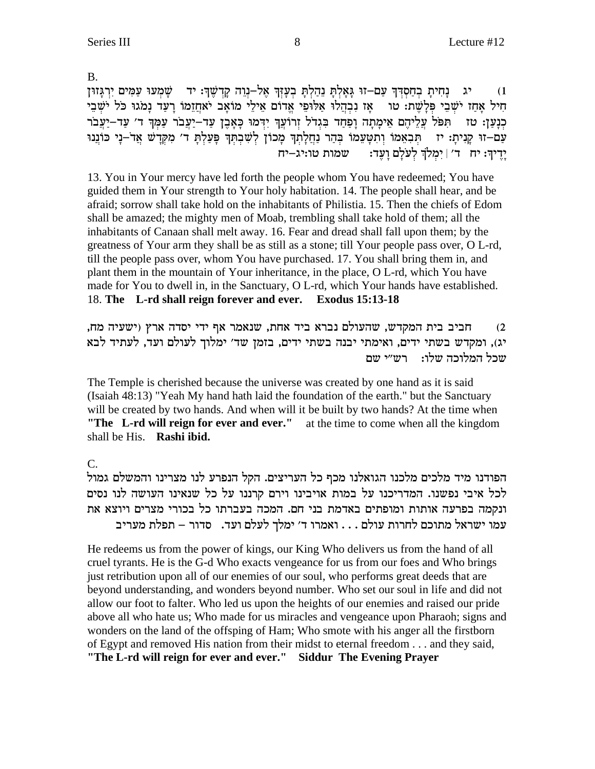**B.** 

נחית בחסדד עם–זו גאלת נהלת בעזד אל–נוה קדשד: יד – שמעו עמים ירגזון יג  $(1)$ חִיל אַחָז יֹשֶׁבֵי פְלַשֶׁת: טוּ אֶז נִבְהֲלוּ אֲלוּפֵי אֲדוֹם אֵילֵי מוֹאָב יֹאחֲזֵמוֹ רַעֲד נַמֹגוּ כֹּל יֹשֶׁבֵי כְנָעַן: טז הִפֹּל עֲלֵיהֶם אֵימָתָה וָפַחַד בִּגְדֹל זְרוֹעֲךָ יִדְּמוּ כָּאָבֶן עַד–יַעֲבֹר עַמְךָ ד׳ עַד–יַעֲבֹר עַם-זוּ קָנִיתָ: יז תִּבְאֵמוֹ וְתִטָּעֵמוֹ בִּהַר נַחֲלָתְךָ מָכוֹן לְשָׁבְתִּךְ פָּעַלְתָּ ד׳ מִקְדָשׁ אֲדֹ–נֶי כּוֹנֵנוּ יַרֵיךְ: יח ד׳ | יִמְלֹךְ לְעֹלַם וַעֲדִ: שמות טו:יג–יח

13. You in Your mercy have led forth the people whom You have redeemed; You have guided them in Your strength to Your holy habitation. 14. The people shall hear, and be afraid: sorrow shall take hold on the inhabitants of Philistia. 15. Then the chiefs of Edom shall be amazed; the mighty men of Moab, trembling shall take hold of them; all the inhabitants of Canaan shall melt away. 16. Fear and dread shall fall upon them; by the greatness of Your arm they shall be as still as a stone; till Your people pass over, O L-rd, till the people pass over, whom You have purchased. 17. You shall bring them in, and plant them in the mountain of Your inheritance, in the place, O L-rd, which You have made for You to dwell in, in the Sanctuary, O L-rd, which Your hands have established. 18. The L-rd shall reign forever and ever. Exodus 15:13-18

חביב בית המקדש, שהעולם נברא ביד אחת, שנאמר אף ידי יסדה ארץ (ישעיה מח,  $(2)$ יג), ומקדש בשתי ידים, ואימתי יבנה בשתי ידים, בזמן שד׳ ימלוך לעולם ועד, לעתיד לבא שכל המלוכה שלו: הרש״י שם

The Temple is cherished because the universe was created by one hand as it is said (Isaiah 48:13) "Yeah My hand hath laid the foundation of the earth." but the Sanctuary will be created by two hands. And when will it be built by two hands? At the time when "The L-rd will reign for ever and ever." at the time to come when all the kingdom shall be His. Rashi ibid.

 $C_{\cdot}$ 

הפודנו מיד מלכים מלכנו הגואלנו מכף כל העריצים. הקל הנפרע לנו מצרינו והמשלם גמול לכל איבי נפשנו. המדריכנו על במות אויבינו וירם קרננו על כל שנאינו העושה לנו נסים ונקמה בפרעה אותות ומופתים באדמת בני חם. המכה בעברתו כל בכורי מצרים ויוצא את עמו ישראל מתוכם לחרות עולם . . . ואמרו ד׳ ימלך לעלם ועד. סדור – תפלת מעריב

He redeems us from the power of kings, our King Who delivers us from the hand of all cruel tyrants. He is the G-d Who exacts vengeance for us from our foes and Who brings just retribution upon all of our enemies of our soul, who performs great deeds that are beyond understanding, and wonders beyond number. Who set our soul in life and did not allow our foot to falter. Who led us upon the heights of our enemies and raised our pride above all who hate us; Who made for us miracles and vengeance upon Pharaoh; signs and wonders on the land of the offsping of Ham; Who smote with his anger all the firstborn of Egypt and removed His nation from their midst to eternal freedom . . . and they said,

"The L-rd will reign for ever and ever." Siddur The Evening Prayer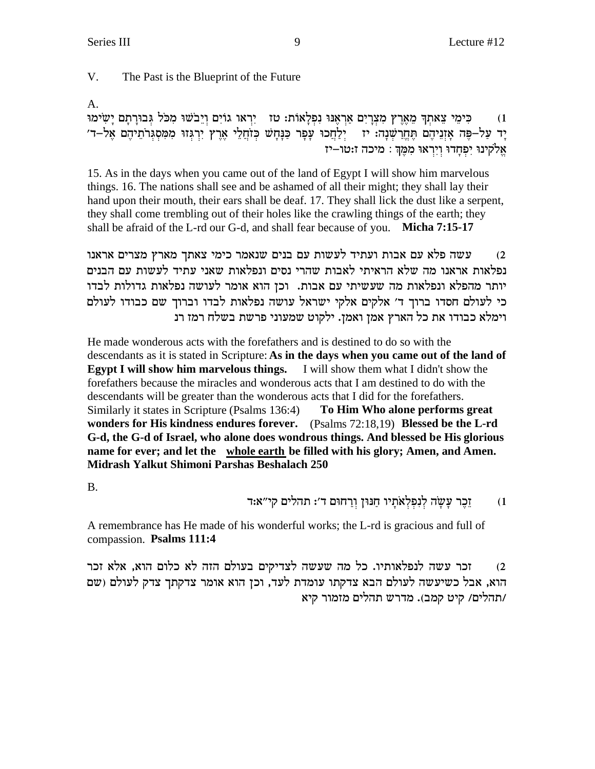V. The Past is the Blueprint of the Future

A.

כִּימֵי צֵאתַךְ מֵאֶרֶץ מִצְרֵיִם אַרְאֲנוּ נִפְלַאוֹת: טז - יִרְאו גוֹיִם וַיֵּבֹשׁוּ מְכֹּל גִּבוּרָתַם יַשִׂימוּ  $(1)$ ַיָּר עַל–פֶּה אַזְנֵיהֶם תֵּחֵרָשְׁנָה: יז - יִלַחֲכוּ עַפָּר כַּנַּחֲשׁ כְּזֹחֲלֵי אֶרֶץ יִרְגִּזוּ מִמְּסְגִּרֹתֵיהֶם אֵל–ד׳ אֱלֹקִינוּ יִפְחַדוּ וְיִרְאוּ מִמֵּךְ : מִיכה ז:טוּ–יז

15. As in the days when you came out of the land of Egypt I will show him marvelous things. 16. The nations shall see and be ashamed of all their might; they shall lay their hand upon their mouth, their ears shall be deaf. 17. They shall lick the dust like a serpent, they shall come trembling out of their holes like the crawling things of the earth; they shall be afraid of the L-rd our G-d, and shall fear because of you. Micha 7:15-17

עשה פלא עם אבות ועתיד לעשות עם בנים שנאמר כימי צאתך מארץ מצרים אראנו  $(2)$ נפלאות אראנו מה שלא הראיתי לאבות שהרי נסים ונפלאות שאני עתיד לעשות עם הבנים יותר מהפלא ונפלאות מה שעשיתי עם אבות. וכן הוא אומר לעושה נפלאות גדולות לבדו כי לעולם חסדו ברוך ד' אלקים אלקי ישראל עושה נפלאות לבדו וברוך שם כבודו לעולם וימלא כבודו את כל הארץ אמן ואמן. ילקוט שמעוני פרשת בשלח רמז רנ

He made wonderous acts with the forefathers and is destined to do so with the descendants as it is stated in Scripture: As in the days when you came out of the land of Egypt I will show him marvelous things. I will show them what I didn't show the forefathers because the miracles and wonderous acts that I am destined to do with the descendants will be greater than the wonderous acts that I did for the forefathers. Similarly it states in Scripture (Psalms 136:4) To Him Who alone performs great wonders for His kindness endures forever. (Psalms 72:18,19) Blessed be the L-rd G-d, the G-d of Israel, who alone does wondrous things. And blessed be His glorious name for ever; and let the whole earth be filled with his glory; Amen, and Amen. Midrash Yalkut Shimoni Parshas Beshalach 250

 $B<sub>1</sub>$ 

ַזֶכֵר עָשָׂה לְנִפְלְאֹתָיו חַנּוּן וְרַחוּם ד׳: תהלים קי״א:ד  $(1)$ 

A remembrance has He made of his wonderful works; the L-rd is gracious and full of compassion. Psalms 111:4

זכר עשה לנפלאותיו. כל מה שעשה לצדיקים בעולם הזה לא כלום הוא, אלא זכר  $(2)$ הוא, אבל כשיעשה לעולם הבא צדקתו עומדת לעד, וכן הוא אומר צדקתך צדק לעולם (שם /תהלים/ קיט קמב). מדרש תהלים מזמור קיא

9